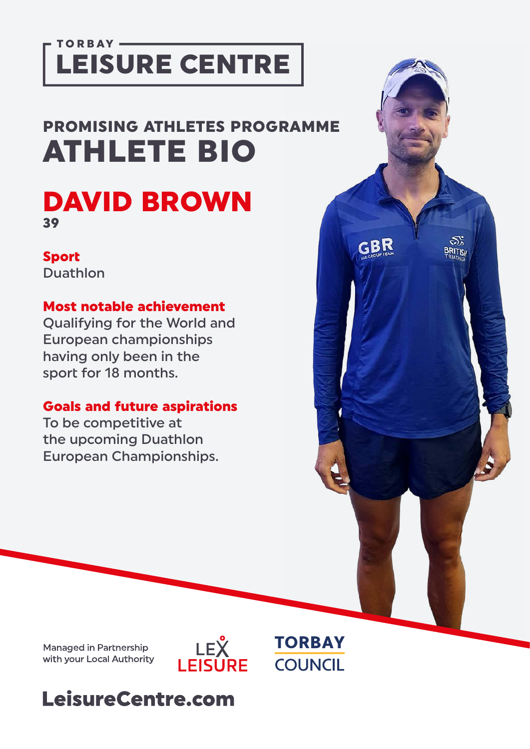## TORBAY-LEISURE CENTRE

## PROMISING ATHLETES PROGRAMME ATHLETE BIO

## DAVID BROWN 39

#### Sport

Duathlon

#### Most notable achievement

Qualifying for the World and European championships having only been in the sport for 18 months.

#### Goals and future aspirations

To be competitive at the upcoming Duathlon European Championships.

**Managed in Partnership** with your Local Authority





S,

**BRITISH** 

GBR